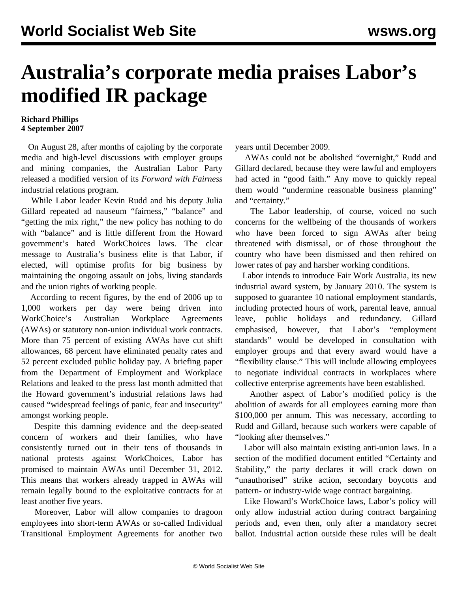## **Australia's corporate media praises Labor's modified IR package**

## **Richard Phillips 4 September 2007**

 On August 28, after months of cajoling by the corporate media and high-level discussions with employer groups and mining companies, the Australian Labor Party released a modified version of its *Forward with Fairness* industrial relations program.

 While Labor leader Kevin Rudd and his deputy Julia Gillard repeated ad nauseum "fairness," "balance" and "getting the mix right," the new policy has nothing to do with "balance" and is little different from the Howard government's hated WorkChoices laws. The clear message to Australia's business elite is that Labor, if elected, will optimise profits for big business by maintaining the ongoing assault on jobs, living standards and the union rights of working people.

 According to recent figures, by the end of 2006 up to 1,000 workers per day were being driven into WorkChoice's Australian Workplace Agreements (AWAs) or statutory non-union individual work contracts. More than 75 percent of existing AWAs have cut shift allowances, 68 percent have eliminated penalty rates and 52 percent excluded public holiday pay. A briefing paper from the Department of Employment and Workplace Relations and leaked to the press last month admitted that the Howard government's industrial relations laws had caused "widespread feelings of panic, fear and insecurity" amongst working people.

 Despite this damning evidence and the deep-seated concern of workers and their families, who have consistently turned out in their tens of thousands in national protests against WorkChoices, Labor has promised to maintain AWAs until December 31, 2012. This means that workers already trapped in AWAs will remain legally bound to the exploitative contracts for at least another five years.

 Moreover, Labor will allow companies to dragoon employees into short-term AWAs or so-called Individual Transitional Employment Agreements for another two years until December 2009.

 AWAs could not be abolished "overnight," Rudd and Gillard declared, because they were lawful and employers had acted in "good faith." Any move to quickly repeal them would "undermine reasonable business planning" and "certainty."

 The Labor leadership, of course, voiced no such concerns for the wellbeing of the thousands of workers who have been forced to sign AWAs after being threatened with dismissal, or of those throughout the country who have been dismissed and then rehired on lower rates of pay and harsher working conditions.

 Labor intends to introduce Fair Work Australia, its new industrial award system, by January 2010. The system is supposed to guarantee 10 national employment standards, including protected hours of work, parental leave, annual leave, public holidays and redundancy. Gillard emphasised, however, that Labor's "employment standards" would be developed in consultation with employer groups and that every award would have a "flexibility clause." This will include allowing employees to negotiate individual contracts in workplaces where collective enterprise agreements have been established.

 Another aspect of Labor's modified policy is the abolition of awards for all employees earning more than \$100,000 per annum. This was necessary, according to Rudd and Gillard, because such workers were capable of "looking after themselves."

 Labor will also maintain existing anti-union laws. In a section of the modified document entitled "Certainty and Stability," the party declares it will crack down on "unauthorised" strike action, secondary boycotts and pattern- or industry-wide wage contract bargaining.

 Like Howard's WorkChoice laws, Labor's policy will only allow industrial action during contract bargaining periods and, even then, only after a mandatory secret ballot. Industrial action outside these rules will be dealt